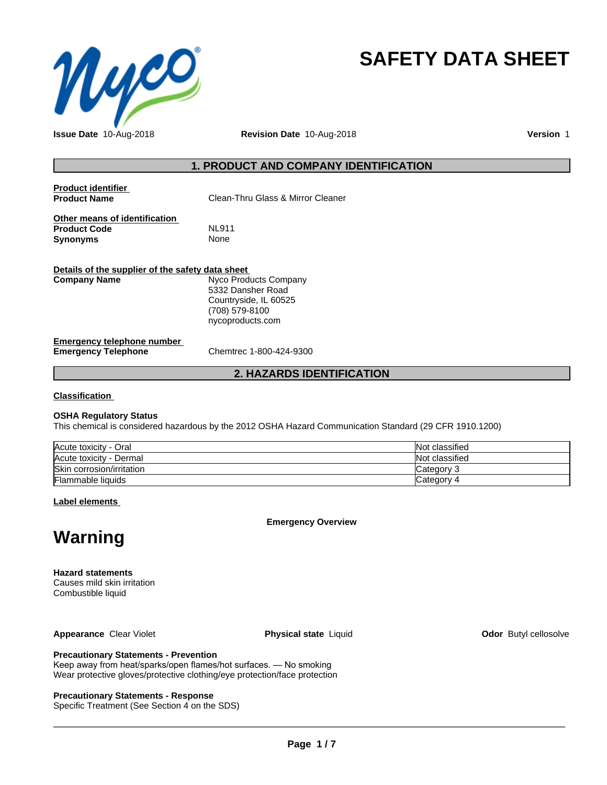

# **SAFETY DATA SHEET**

**Issue Date** 10-Aug-2018 **Revision Date** 10-Aug-2018 **Version** 1

## **1. PRODUCT AND COMPANY IDENTIFICATION**

| <b>Product identifier</b><br><b>Product Name</b>                 | Clean-Thru Glass & Mirror Cleaner |
|------------------------------------------------------------------|-----------------------------------|
| Other means of identification<br><b>Product Code</b><br>Synonyms | <b>NL911</b><br>None              |
| Details of the supplier of the safety data sheet<br>Comnany Namo | Nuco Producte Company             |

**Company Name** Nyco Products Company 5332 Dansher Road Countryside, IL 60525 (708) 579-8100 nycoproducts.com

#### **Emergency telephone number Emergency Telephone** Chemtrec 1-800-424-9300

## **2. HAZARDS IDENTIFICATION**

**Classification**

#### **OSHA Regulatory Status**

This chemical is considered hazardous by the 2012 OSHA Hazard Communication Standard (29 CFR 1910.1200)

| Acute toxicity - Oral     | Not classified |
|---------------------------|----------------|
| Acute toxicity - Dermal   | Not classified |
| Skin corrosion/irritation | Category ?     |
| <b>Flammable liquids</b>  | Category 4     |

**Label elements**

**Emergency Overview**

## **Warning**

**Hazard statements** Causes mild skin irritation Combustible liquid

**Appearance** Clear Violet **Physical state** Liquid **Clear Appearance** Clear Violet **Clear Appearance** Clear Violet

## **Precautionary Statements - Prevention**

Keep away from heat/sparks/open flames/hot surfaces. — No smoking Wear protective gloves/protective clothing/eye protection/face protection

#### **Precautionary Statements - Response**

Specific Treatment (See Section 4 on the SDS)

 $\overline{\phantom{a}}$  ,  $\overline{\phantom{a}}$  ,  $\overline{\phantom{a}}$  ,  $\overline{\phantom{a}}$  ,  $\overline{\phantom{a}}$  ,  $\overline{\phantom{a}}$  ,  $\overline{\phantom{a}}$  ,  $\overline{\phantom{a}}$  ,  $\overline{\phantom{a}}$  ,  $\overline{\phantom{a}}$  ,  $\overline{\phantom{a}}$  ,  $\overline{\phantom{a}}$  ,  $\overline{\phantom{a}}$  ,  $\overline{\phantom{a}}$  ,  $\overline{\phantom{a}}$  ,  $\overline{\phantom{a}}$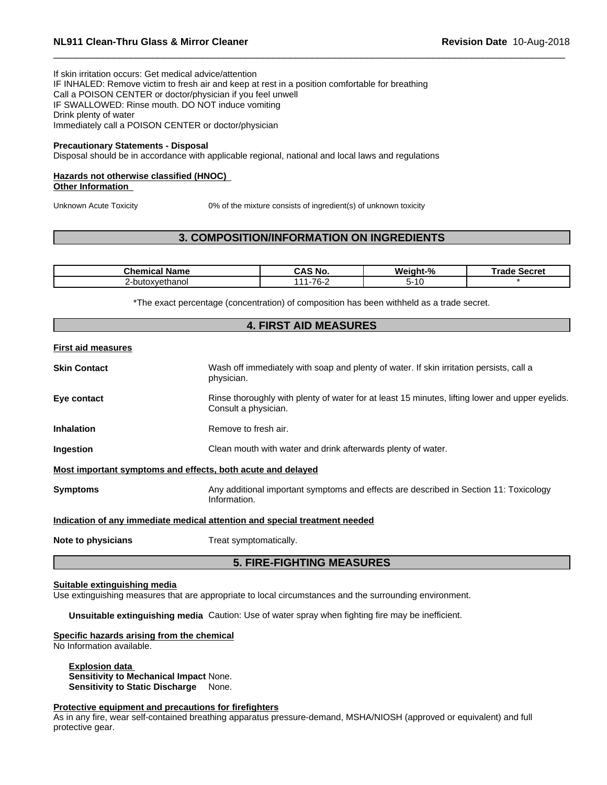If skin irritation occurs: Get medical advice/attention

IF INHALED: Remove victim to fresh air and keep at rest in a position comfortable for breathing Call a POISON CENTER or doctor/physician if you feel unwell IF SWALLOWED: Rinse mouth. DO NOT induce vomiting Drink plenty of water Immediately call a POISON CENTER or doctor/physician

#### **Precautionary Statements - Disposal**

Disposal should be in accordance with applicable regional, national and local laws and regulations

#### **Hazards not otherwise classified (HNOC) Other Information**

Unknown Acute Toxicity 0% of the mixture consists of ingredient(s) of unknown toxicity

## **3. COMPOSITION/INFORMATION ON INGREDIENTS**

| Chemical<br>-------<br>name              | ۰No                                                            | Weight-%  | Secret<br>г.<br>raoe |
|------------------------------------------|----------------------------------------------------------------|-----------|----------------------|
| ∀ethanol<br>∟-butox <sup>,</sup><br>1XVP | $\overline{\phantom{a}}$<br>$\overline{\phantom{a}}$<br>v<br>- | ∼-<br>. U |                      |

\*The exact percentage (concentration) of composition has been withheld as a trade secret.

|                           | <b>4. FIRST AID MEASURES</b>                                                                                            |
|---------------------------|-------------------------------------------------------------------------------------------------------------------------|
| <b>First aid measures</b> |                                                                                                                         |
| <b>Skin Contact</b>       | Wash off immediately with soap and plenty of water. If skin irritation persists, call a<br>physician.                   |
| Eye contact               | Rinse thoroughly with plenty of water for at least 15 minutes, lifting lower and upper eyelids.<br>Consult a physician. |
| <b>Inhalation</b>         | Remove to fresh air.                                                                                                    |
| Ingestion                 | Clean mouth with water and drink afterwards plenty of water.                                                            |
|                           | Most important symptoms and effects, both acute and delayed                                                             |
| <b>Symptoms</b>           | Any additional important symptoms and effects are described in Section 11: Toxicology<br>Information.                   |
|                           | Indication of any immediate medical attention and special treatment needed                                              |
| Note to physicians        | Treat symptomatically.                                                                                                  |
|                           | <b>5. FIRE-FIGHTING MEASURES</b>                                                                                        |

#### **Suitable extinguishing media**

Use extinguishing measures that are appropriate to local circumstances and the surrounding environment.

**Unsuitable extinguishing media** Caution: Use of water spray when fighting fire may be inefficient.

#### **Specific hazards arising from the chemical**

No Information available.

**Explosion data Sensitivity to Mechanical Impact** None. **Sensitivity to Static Discharge** None.

## **Protective equipment and precautions for firefighters**

As in any fire, wear self-contained breathing apparatus pressure-demand, MSHA/NIOSH (approved or equivalent) and full protective gear.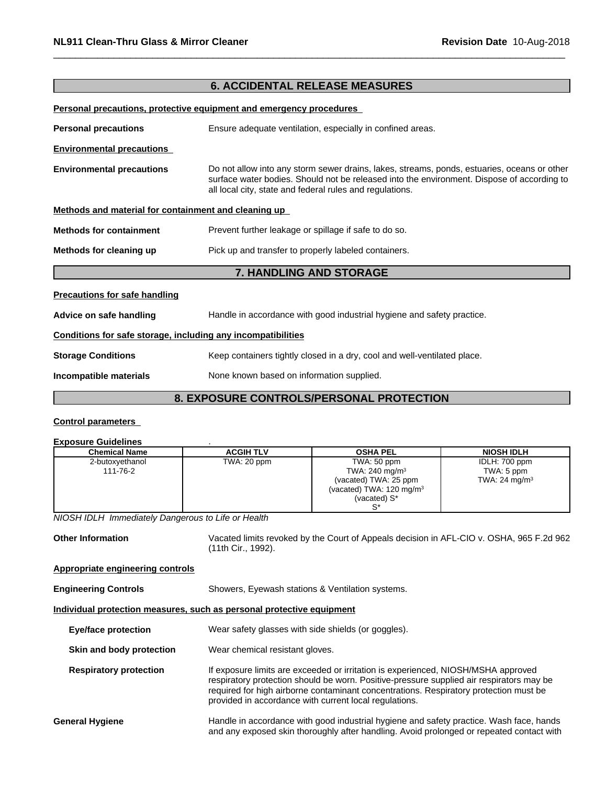## **6. ACCIDENTAL RELEASE MEASURES**

**Personal precautions, protective equipment and emergency procedures**

| <b>Personal precautions</b>                                  | Ensure adequate ventilation, especially in confined areas.                                                                                                                                                                                            |
|--------------------------------------------------------------|-------------------------------------------------------------------------------------------------------------------------------------------------------------------------------------------------------------------------------------------------------|
| <b>Environmental precautions</b>                             |                                                                                                                                                                                                                                                       |
| <b>Environmental precautions</b>                             | Do not allow into any storm sewer drains, lakes, streams, ponds, estuaries, oceans or other<br>surface water bodies. Should not be released into the environment. Dispose of according to<br>all local city, state and federal rules and regulations. |
| Methods and material for containment and cleaning up         |                                                                                                                                                                                                                                                       |
| <b>Methods for containment</b>                               | Prevent further leakage or spillage if safe to do so.                                                                                                                                                                                                 |
| Methods for cleaning up                                      | Pick up and transfer to properly labeled containers.                                                                                                                                                                                                  |
|                                                              | <b>7. HANDLING AND STORAGE</b>                                                                                                                                                                                                                        |
| <b>Precautions for safe handling</b>                         |                                                                                                                                                                                                                                                       |
| Advice on safe handling                                      | Handle in accordance with good industrial hygiene and safety practice.                                                                                                                                                                                |
| Conditions for safe storage, including any incompatibilities |                                                                                                                                                                                                                                                       |
| <b>Storage Conditions</b>                                    | Keep containers tightly closed in a dry, cool and well-ventilated place.                                                                                                                                                                              |
| Incompatible materials                                       | None known based on information supplied.                                                                                                                                                                                                             |
|                                                              | <b>8. EXPOSURE CONTROLS/PERSONAL PROTECTION</b>                                                                                                                                                                                                       |
|                                                              |                                                                                                                                                                                                                                                       |

#### **Control parameters**

#### **Exposure Guidelines** .

| <b>Chemical Name</b> | <b>ACGIH TLV</b> | <b>OSHA PEL</b>                     | <b>NIOSH IDLH</b>        |
|----------------------|------------------|-------------------------------------|--------------------------|
| 2-butoxyethanol      | TWA: 20 ppm      | TWA: 50 ppm                         | IDLH: 700 ppm            |
| 111-76-2             |                  | TWA: 240 mg/m <sup>3</sup>          | TWA: 5 ppm               |
|                      |                  | (vacated) TWA: 25 ppm               | TWA: $24 \text{ mg/m}^3$ |
|                      |                  | (vacated) TWA: $120 \text{ mg/m}^3$ |                          |
|                      |                  | (vacated) S*                        |                          |
|                      |                  | r∗                                  |                          |

*NIOSH IDLH Immediately Dangerous to Life or Health*

**Other Information** Vacated limits revoked by the Court of Appeals decision in AFL-CIO v.OSHA, 965 F.2d 962 (11th Cir., 1992).

**Appropriate engineering controls**

**Engineering Controls** Showers, Eyewash stations & Ventilation systems.

#### **Individual protection measures, such as personal protective equipment**

| <b>Eye/face protection</b>    | Wear safety glasses with side shields (or goggles).                                                                                                                                                                                                                                                                              |
|-------------------------------|----------------------------------------------------------------------------------------------------------------------------------------------------------------------------------------------------------------------------------------------------------------------------------------------------------------------------------|
| Skin and body protection      | Wear chemical resistant gloves.                                                                                                                                                                                                                                                                                                  |
| <b>Respiratory protection</b> | If exposure limits are exceeded or irritation is experienced, NIOSH/MSHA approved<br>respiratory protection should be worn. Positive-pressure supplied air respirators may be<br>required for high airborne contaminant concentrations. Respiratory protection must be<br>provided in accordance with current local regulations. |
| General Hygiene               | Handle in accordance with good industrial hygiene and safety practice. Wash face, hands<br>and any exposed skin thoroughly after handling. Avoid prolonged or repeated contact with                                                                                                                                              |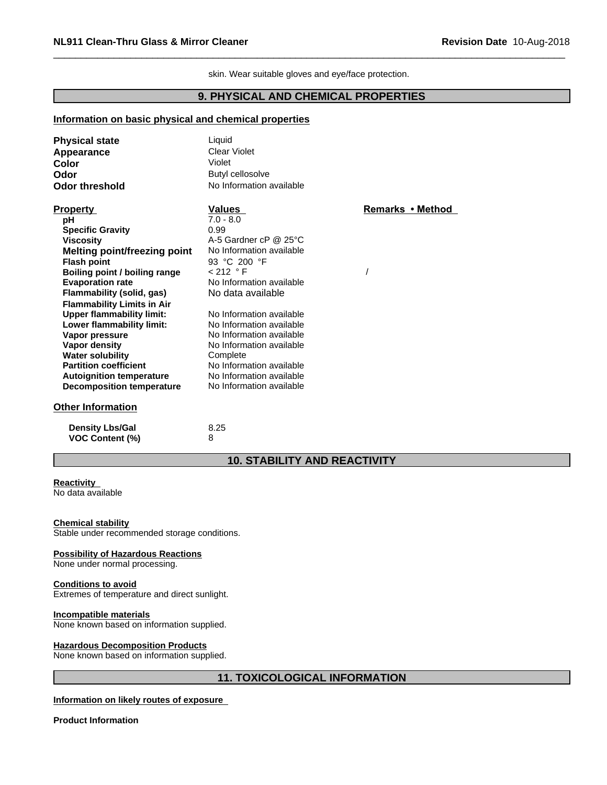skin. Wear suitable gloves and eye/face protection.

## **9. PHYSICAL AND CHEMICAL PROPERTIES**

#### **Information on basic physical and chemical properties**

| <b>Physical state</b>               | Liquid                   |                  |  |
|-------------------------------------|--------------------------|------------------|--|
| Appearance                          | <b>Clear Violet</b>      |                  |  |
| Color                               | Violet                   |                  |  |
| Odor                                | Butyl cellosolve         |                  |  |
| <b>Odor threshold</b>               | No Information available |                  |  |
| <b>Property</b>                     | Values                   | Remarks • Method |  |
| рH                                  | $7.0 - 8.0$              |                  |  |
| <b>Specific Gravity</b>             | 0.99                     |                  |  |
| <b>Viscosity</b>                    | A-5 Gardner cP @ 25°C    |                  |  |
| <b>Melting point/freezing point</b> | No Information available |                  |  |
| <b>Flash point</b>                  | 93 °C 200 °F             |                  |  |
| Boiling point / boiling range       | $< 212$ °F               |                  |  |
| <b>Evaporation rate</b>             | No Information available |                  |  |
| Flammability (solid, gas)           | No data available        |                  |  |
| <b>Flammability Limits in Air</b>   |                          |                  |  |
| <b>Upper flammability limit:</b>    | No Information available |                  |  |
| Lower flammability limit:           | No Information available |                  |  |
| Vapor pressure                      | No Information available |                  |  |
| Vapor density                       | No Information available |                  |  |
| <b>Water solubility</b>             | Complete                 |                  |  |
| <b>Partition coefficient</b>        | No Information available |                  |  |
| <b>Autoignition temperature</b>     | No Information available |                  |  |
| Decomposition temperature           | No Information available |                  |  |
| <b>Other Information</b>            |                          |                  |  |
|                                     |                          |                  |  |

**Density Lbs/Gal** 8.25<br> **VOC Content (%)** 8 **VOC** Content (%)

## **10. STABILITY AND REACTIVITY**

## **Reactivity**

No data available

#### **Chemical stability**

Stable under recommended storage conditions.

#### **Possibility of Hazardous Reactions**

None under normal processing.

#### **Conditions to avoid**

Extremes of temperature and direct sunlight.

#### **Incompatible materials**

None known based on information supplied.

#### **Hazardous Decomposition Products**

None known based on information supplied.

## **11. TOXICOLOGICAL INFORMATION**

#### **Information on likely routes of exposure**

**Product Information**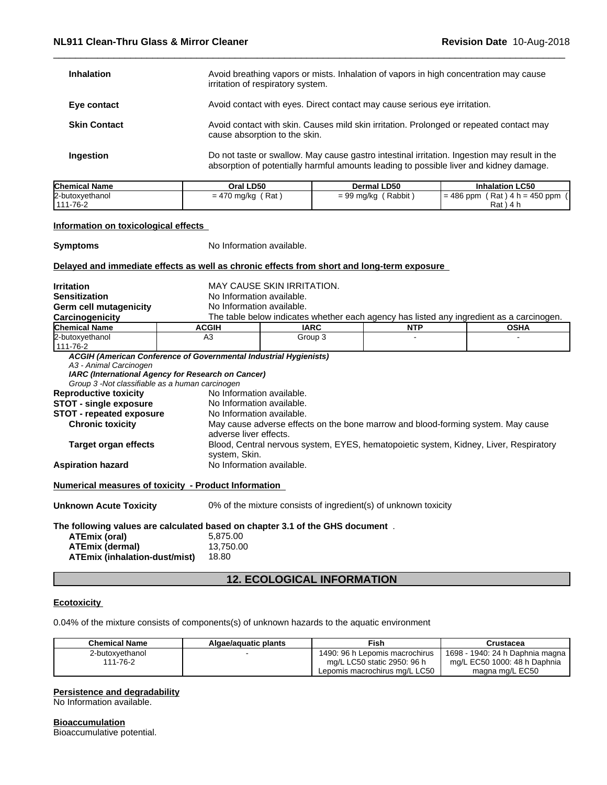| <b>Inhalation</b>   | Avoid breathing vapors or mists. Inhalation of vapors in high concentration may cause<br>irritation of respiratory system.                                                             |
|---------------------|----------------------------------------------------------------------------------------------------------------------------------------------------------------------------------------|
| Eye contact         | Avoid contact with eyes. Direct contact may cause serious eye irritation.                                                                                                              |
| <b>Skin Contact</b> | Avoid contact with skin. Causes mild skin irritation. Prolonged or repeated contact may<br>cause absorption to the skin.                                                               |
| Ingestion           | Do not taste or swallow. May cause gastro intestinal irritation. Ingestion may result in the<br>absorption of potentially harmful amounts leading to possible liver and kidney damage. |

| <b>Chemical Name</b>  | Oral LD50                     | Dermal LD50                         | <b>Inhalation LC50</b>                                           |
|-----------------------|-------------------------------|-------------------------------------|------------------------------------------------------------------|
| 2-butoxyethanol       | Rat<br>mg/ko<br>$-$ 4.<br>= 4 | Rabbit<br>$-$ 90<br>, mg/ka<br>= ೨೨ | $= 486$<br>$450$ ppm<br>Rat<br>ppm<br>$\cdot$ n = $\prime$<br>14 |
| . 444<br>$1 - 76 - 2$ |                               |                                     | Rat                                                              |

## **Information on toxicological effects**

**Symptoms** No Information available.

## **Delayed and immediate effects as well as chronic effects from short and long-term exposure**

| No Information available.<br><b>Sensitization</b><br>Germ cell mutagenicity<br>No Information available.<br>The table below indicates whether each agency has listed any ingredient as a carcinogen.<br>Carcinogenicity<br><b>Chemical Name</b><br><b>ACGIH</b><br><b>IARC</b><br><b>NTP</b><br><b>OSHA</b><br>2-butoxyethanol<br>A <sub>3</sub><br>Group 3<br>111-76-2<br>ACGIH (American Conference of Governmental Industrial Hygienists)<br>A3 - Animal Carcinogen<br>IARC (International Agency for Research on Cancer)<br>Group 3 -Not classifiable as a human carcinogen<br>No Information available.<br><b>Reproductive toxicity</b><br>No Information available.<br><b>STOT - single exposure</b><br>No Information available.<br><b>STOT - repeated exposure</b><br>May cause adverse effects on the bone marrow and blood-forming system. May cause<br><b>Chronic toxicity</b><br>adverse liver effects.<br>Blood, Central nervous system, EYES, hematopoietic system, Kidney, Liver, Respiratory<br>Target organ effects<br>system, Skin.<br>No Information available.<br><b>Aspiration hazard</b> |  |  |  |  |
|----------------------------------------------------------------------------------------------------------------------------------------------------------------------------------------------------------------------------------------------------------------------------------------------------------------------------------------------------------------------------------------------------------------------------------------------------------------------------------------------------------------------------------------------------------------------------------------------------------------------------------------------------------------------------------------------------------------------------------------------------------------------------------------------------------------------------------------------------------------------------------------------------------------------------------------------------------------------------------------------------------------------------------------------------------------------------------------------------------------|--|--|--|--|
|                                                                                                                                                                                                                                                                                                                                                                                                                                                                                                                                                                                                                                                                                                                                                                                                                                                                                                                                                                                                                                                                                                                |  |  |  |  |
|                                                                                                                                                                                                                                                                                                                                                                                                                                                                                                                                                                                                                                                                                                                                                                                                                                                                                                                                                                                                                                                                                                                |  |  |  |  |
|                                                                                                                                                                                                                                                                                                                                                                                                                                                                                                                                                                                                                                                                                                                                                                                                                                                                                                                                                                                                                                                                                                                |  |  |  |  |
|                                                                                                                                                                                                                                                                                                                                                                                                                                                                                                                                                                                                                                                                                                                                                                                                                                                                                                                                                                                                                                                                                                                |  |  |  |  |
|                                                                                                                                                                                                                                                                                                                                                                                                                                                                                                                                                                                                                                                                                                                                                                                                                                                                                                                                                                                                                                                                                                                |  |  |  |  |
|                                                                                                                                                                                                                                                                                                                                                                                                                                                                                                                                                                                                                                                                                                                                                                                                                                                                                                                                                                                                                                                                                                                |  |  |  |  |
|                                                                                                                                                                                                                                                                                                                                                                                                                                                                                                                                                                                                                                                                                                                                                                                                                                                                                                                                                                                                                                                                                                                |  |  |  |  |
|                                                                                                                                                                                                                                                                                                                                                                                                                                                                                                                                                                                                                                                                                                                                                                                                                                                                                                                                                                                                                                                                                                                |  |  |  |  |
|                                                                                                                                                                                                                                                                                                                                                                                                                                                                                                                                                                                                                                                                                                                                                                                                                                                                                                                                                                                                                                                                                                                |  |  |  |  |
|                                                                                                                                                                                                                                                                                                                                                                                                                                                                                                                                                                                                                                                                                                                                                                                                                                                                                                                                                                                                                                                                                                                |  |  |  |  |
|                                                                                                                                                                                                                                                                                                                                                                                                                                                                                                                                                                                                                                                                                                                                                                                                                                                                                                                                                                                                                                                                                                                |  |  |  |  |
|                                                                                                                                                                                                                                                                                                                                                                                                                                                                                                                                                                                                                                                                                                                                                                                                                                                                                                                                                                                                                                                                                                                |  |  |  |  |
|                                                                                                                                                                                                                                                                                                                                                                                                                                                                                                                                                                                                                                                                                                                                                                                                                                                                                                                                                                                                                                                                                                                |  |  |  |  |
| <b>Numerical measures of toxicity - Product Information</b>                                                                                                                                                                                                                                                                                                                                                                                                                                                                                                                                                                                                                                                                                                                                                                                                                                                                                                                                                                                                                                                    |  |  |  |  |
| <b>Unknown Acute Toxicity</b><br>0% of the mixture consists of ingredient(s) of unknown toxicity                                                                                                                                                                                                                                                                                                                                                                                                                                                                                                                                                                                                                                                                                                                                                                                                                                                                                                                                                                                                               |  |  |  |  |
| The following values are calculated based on chapter 3.1 of the GHS document.                                                                                                                                                                                                                                                                                                                                                                                                                                                                                                                                                                                                                                                                                                                                                                                                                                                                                                                                                                                                                                  |  |  |  |  |
| 5,875.00<br>ATEmix (oral)                                                                                                                                                                                                                                                                                                                                                                                                                                                                                                                                                                                                                                                                                                                                                                                                                                                                                                                                                                                                                                                                                      |  |  |  |  |
| <b>ATEmix (dermal)</b><br>13,750.00                                                                                                                                                                                                                                                                                                                                                                                                                                                                                                                                                                                                                                                                                                                                                                                                                                                                                                                                                                                                                                                                            |  |  |  |  |
| 18.80<br>ATEmix (inhalation-dust/mist)                                                                                                                                                                                                                                                                                                                                                                                                                                                                                                                                                                                                                                                                                                                                                                                                                                                                                                                                                                                                                                                                         |  |  |  |  |

## **12. ECOLOGICAL INFORMATION**

#### **Ecotoxicity**

0.04% of the mixture consists of components(s) of unknown hazards to the aquatic environment

| Chemical Name   | Algae/aguatic plants | Fish                           | Crustacea                         |
|-----------------|----------------------|--------------------------------|-----------------------------------|
| 2-butoxvethanol |                      | 1490: 96 h Lepomis macrochirus | 1698 - 1940: 24 h Daphnia magna 1 |
| 111-76-2        |                      | mg/L LC50 static 2950: 96 h    | mg/L EC50 1000: 48 h Daphnia      |
|                 |                      | Lepomis macrochirus mg/L LC50  | magna mg/L EC50                   |

## **Persistence and degradability**

No Information available.

**Bioaccumulation** Bioaccumulative potential.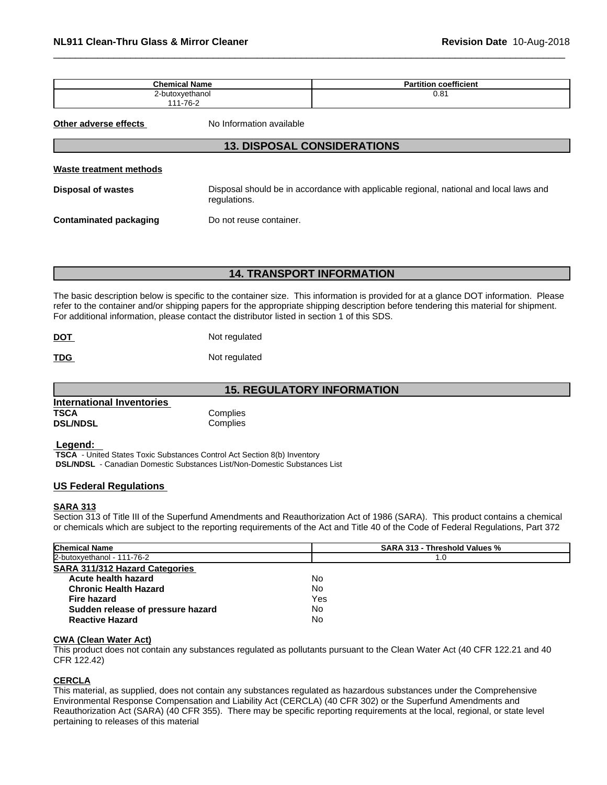| <b>Chemical Name</b> | coefficient<br>л.<br>tition<br>а |
|----------------------|----------------------------------|
| 2-butoxvethanol      | ດ ດ 4<br>U.O.                    |
| 111-76-2             |                                  |

**Other adverse effects** No Information available

## **13. DISPOSAL CONSIDERATIONS**

#### **Waste treatment methods**

**Disposal of wastes** Disposal should be in accordance with applicable regional, national and local laws and regulations.

**Contaminated packaging Do not reuse container.** 

## **14. TRANSPORT INFORMATION**

The basic description below is specific to the container size. This information is provided for at a glance DOT information. Please refer to the container and/or shipping papers for the appropriate shipping description before tendering this material for shipment. For additional information, please contact the distributor listed in section 1 of this SDS.

| <b>DOT</b><br><u> The Communication of the Communication of the Communication of the Communication of the Communication of the Communication of the Communication of the Communication of the Communication of the Communication of the Commun</u> | Not regulated |
|----------------------------------------------------------------------------------------------------------------------------------------------------------------------------------------------------------------------------------------------------|---------------|
|                                                                                                                                                                                                                                                    |               |

**TDG** Not regulated

**15. REGULATORY INFORMATION**

| International Inventories |          |  |
|---------------------------|----------|--|
| <b>TSCA</b>               | Complies |  |
| <b>DSL/NDSL</b>           | Complies |  |

#### **Legend:**

 **TSCA** - United States Toxic Substances Control Act Section 8(b) Inventory  **DSL/NDSL** - Canadian Domestic Substances List/Non-Domestic Substances List

#### **US Federal Regulations**

#### **SARA 313**

Section 313 of Title III of the Superfund Amendments and Reauthorization Act of 1986 (SARA). This product contains a chemical or chemicals which are subject to the reporting requirements of the Act and Title 40 of the Code of Federal Regulations, Part 372

| <b>Chemical Name</b>                  | <b>SARA 313 - Threshold Values %</b> |
|---------------------------------------|--------------------------------------|
| 2-butoxyethanol - 111-76-2            | 1.0                                  |
| <b>SARA 311/312 Hazard Categories</b> |                                      |
| Acute health hazard                   | No                                   |
| <b>Chronic Health Hazard</b>          | No                                   |
| <b>Fire hazard</b>                    | Yes                                  |
| Sudden release of pressure hazard     | No                                   |
| <b>Reactive Hazard</b>                | No                                   |

#### **CWA** (Clean Water Act)

This product does not contain any substances regulated as pollutants pursuant to the Clean Water Act (40 CFR 122.21 and 40 CFR 122.42)

## **CERCLA**

This material, as supplied, does not contain any substances regulated as hazardous substances under the Comprehensive Environmental Response Compensation and Liability Act (CERCLA) (40 CFR 302) or the Superfund Amendments and Reauthorization Act (SARA) (40 CFR 355). There may be specific reporting requirements at the local, regional, or state level pertaining to releases of this material